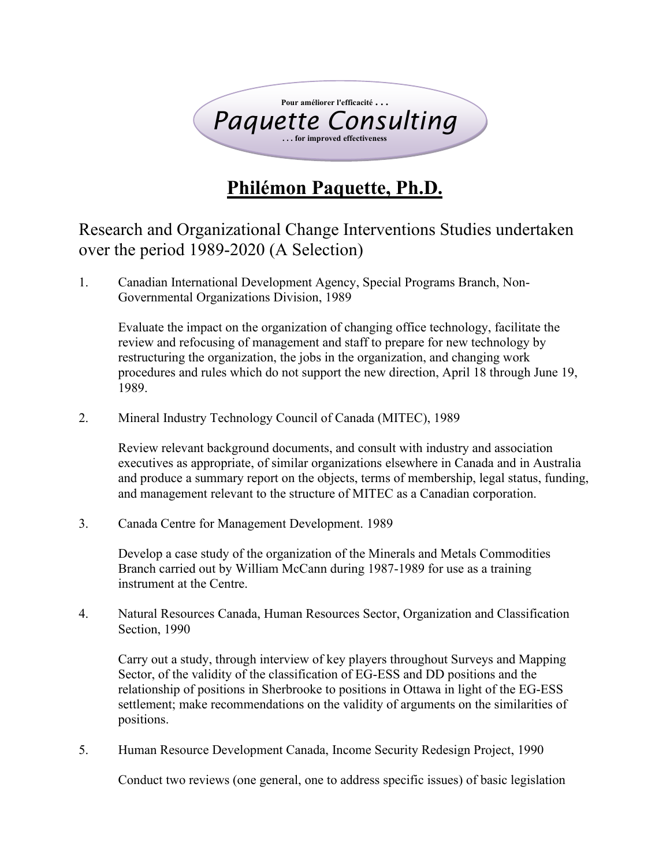

## **Philémon Paquette, Ph.D.**

Research and Organizational Change Interventions Studies undertaken over the period 1989-2020 (A Selection)

1. Canadian International Development Agency, Special Programs Branch, Non-Governmental Organizations Division, 1989

Evaluate the impact on the organization of changing office technology, facilitate the review and refocusing of management and staff to prepare for new technology by restructuring the organization, the jobs in the organization, and changing work procedures and rules which do not support the new direction, April 18 through June 19, 1989.

2. Mineral Industry Technology Council of Canada (MITEC), 1989

Review relevant background documents, and consult with industry and association executives as appropriate, of similar organizations elsewhere in Canada and in Australia and produce a summary report on the objects, terms of membership, legal status, funding, and management relevant to the structure of MITEC as a Canadian corporation.

3. Canada Centre for Management Development. 1989

Develop a case study of the organization of the Minerals and Metals Commodities Branch carried out by William McCann during 1987-1989 for use as a training instrument at the Centre.

4. Natural Resources Canada, Human Resources Sector, Organization and Classification Section, 1990

Carry out a study, through interview of key players throughout Surveys and Mapping Sector, of the validity of the classification of EG-ESS and DD positions and the relationship of positions in Sherbrooke to positions in Ottawa in light of the EG-ESS settlement; make recommendations on the validity of arguments on the similarities of positions.

5. Human Resource Development Canada, Income Security Redesign Project, 1990

Conduct two reviews (one general, one to address specific issues) of basic legislation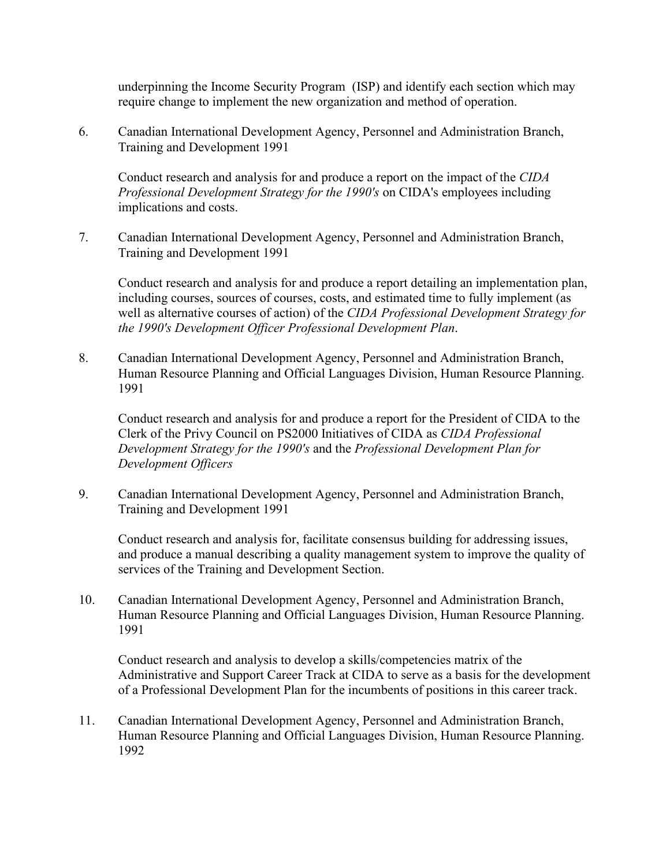underpinning the Income Security Program (ISP) and identify each section which may require change to implement the new organization and method of operation.

6. Canadian International Development Agency, Personnel and Administration Branch, Training and Development 1991

Conduct research and analysis for and produce a report on the impact of the *CIDA Professional Development Strategy for the 1990's* on CIDA's employees including implications and costs.

7. Canadian International Development Agency, Personnel and Administration Branch, Training and Development 1991

Conduct research and analysis for and produce a report detailing an implementation plan, including courses, sources of courses, costs, and estimated time to fully implement (as well as alternative courses of action) of the *CIDA Professional Development Strategy for the 1990's Development Officer Professional Development Plan*.

8. Canadian International Development Agency, Personnel and Administration Branch, Human Resource Planning and Official Languages Division, Human Resource Planning. 1991

Conduct research and analysis for and produce a report for the President of CIDA to the Clerk of the Privy Council on PS2000 Initiatives of CIDA as *CIDA Professional Development Strategy for the 1990's* and the *Professional Development Plan for Development Officers*

9. Canadian International Development Agency, Personnel and Administration Branch, Training and Development 1991

Conduct research and analysis for, facilitate consensus building for addressing issues, and produce a manual describing a quality management system to improve the quality of services of the Training and Development Section.

10. Canadian International Development Agency, Personnel and Administration Branch, Human Resource Planning and Official Languages Division, Human Resource Planning. 1991

Conduct research and analysis to develop a skills/competencies matrix of the Administrative and Support Career Track at CIDA to serve as a basis for the development of a Professional Development Plan for the incumbents of positions in this career track.

11. Canadian International Development Agency, Personnel and Administration Branch, Human Resource Planning and Official Languages Division, Human Resource Planning. 1992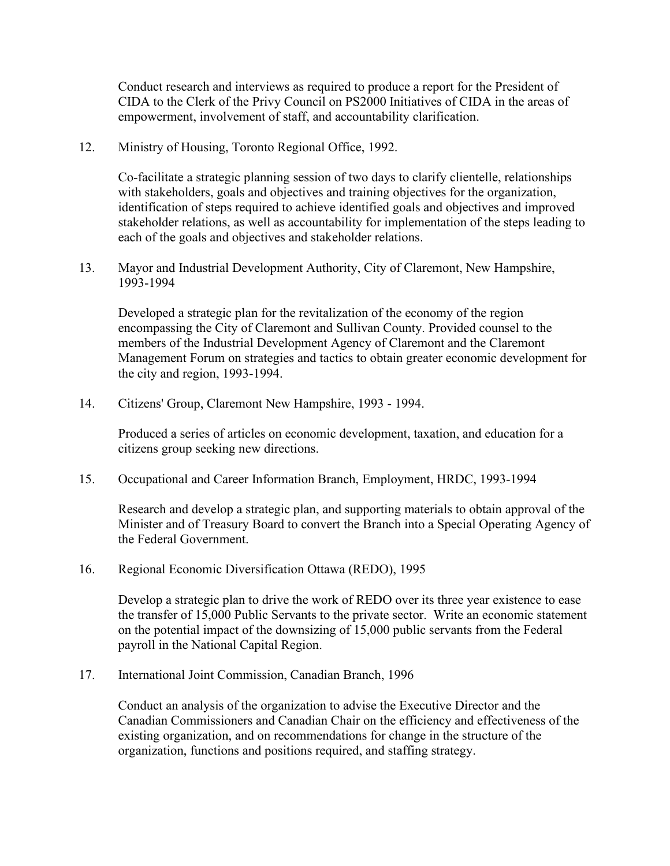Conduct research and interviews as required to produce a report for the President of CIDA to the Clerk of the Privy Council on PS2000 Initiatives of CIDA in the areas of empowerment, involvement of staff, and accountability clarification.

12. Ministry of Housing, Toronto Regional Office, 1992.

Co-facilitate a strategic planning session of two days to clarify clientelle, relationships with stakeholders, goals and objectives and training objectives for the organization, identification of steps required to achieve identified goals and objectives and improved stakeholder relations, as well as accountability for implementation of the steps leading to each of the goals and objectives and stakeholder relations.

13. Mayor and Industrial Development Authority, City of Claremont, New Hampshire, 1993-1994

Developed a strategic plan for the revitalization of the economy of the region encompassing the City of Claremont and Sullivan County. Provided counsel to the members of the Industrial Development Agency of Claremont and the Claremont Management Forum on strategies and tactics to obtain greater economic development for the city and region, 1993-1994.

14. Citizens' Group, Claremont New Hampshire, 1993 - 1994.

Produced a series of articles on economic development, taxation, and education for a citizens group seeking new directions.

15. Occupational and Career Information Branch, Employment, HRDC, 1993-1994

Research and develop a strategic plan, and supporting materials to obtain approval of the Minister and of Treasury Board to convert the Branch into a Special Operating Agency of the Federal Government.

16. Regional Economic Diversification Ottawa (REDO), 1995

Develop a strategic plan to drive the work of REDO over its three year existence to ease the transfer of 15,000 Public Servants to the private sector. Write an economic statement on the potential impact of the downsizing of 15,000 public servants from the Federal payroll in the National Capital Region.

17. International Joint Commission, Canadian Branch, 1996

Conduct an analysis of the organization to advise the Executive Director and the Canadian Commissioners and Canadian Chair on the efficiency and effectiveness of the existing organization, and on recommendations for change in the structure of the organization, functions and positions required, and staffing strategy.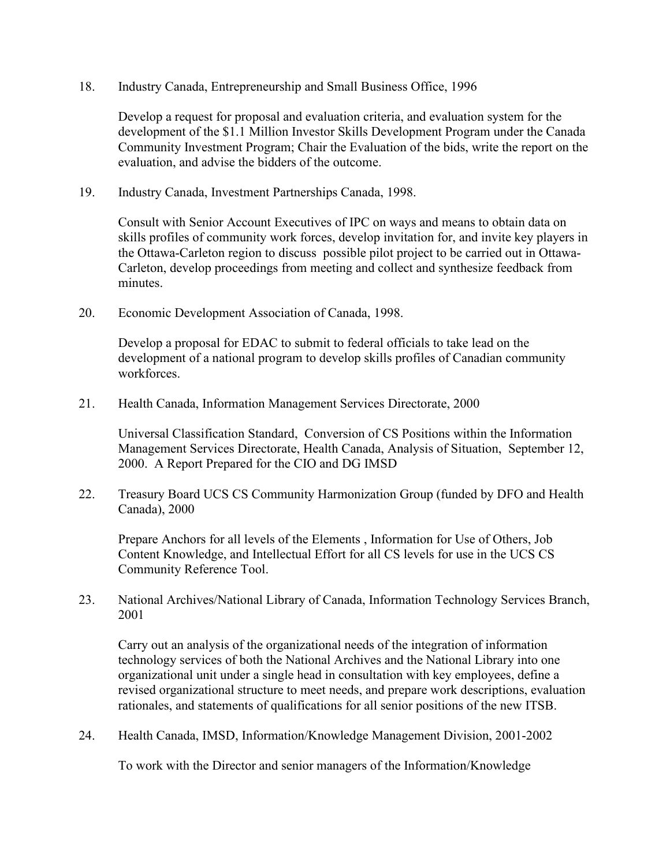18. Industry Canada, Entrepreneurship and Small Business Office, 1996

Develop a request for proposal and evaluation criteria, and evaluation system for the development of the \$1.1 Million Investor Skills Development Program under the Canada Community Investment Program; Chair the Evaluation of the bids, write the report on the evaluation, and advise the bidders of the outcome.

19. Industry Canada, Investment Partnerships Canada, 1998.

Consult with Senior Account Executives of IPC on ways and means to obtain data on skills profiles of community work forces, develop invitation for, and invite key players in the Ottawa-Carleton region to discuss possible pilot project to be carried out in Ottawa-Carleton, develop proceedings from meeting and collect and synthesize feedback from minutes.

20. Economic Development Association of Canada, 1998.

Develop a proposal for EDAC to submit to federal officials to take lead on the development of a national program to develop skills profiles of Canadian community workforces.

21. Health Canada, Information Management Services Directorate, 2000

Universal Classification Standard, Conversion of CS Positions within the Information Management Services Directorate, Health Canada, Analysis of Situation, September 12, 2000. A Report Prepared for the CIO and DG IMSD

22. Treasury Board UCS CS Community Harmonization Group (funded by DFO and Health Canada), 2000

Prepare Anchors for all levels of the Elements , Information for Use of Others, Job Content Knowledge, and Intellectual Effort for all CS levels for use in the UCS CS Community Reference Tool.

23. National Archives/National Library of Canada, Information Technology Services Branch, 2001

Carry out an analysis of the organizational needs of the integration of information technology services of both the National Archives and the National Library into one organizational unit under a single head in consultation with key employees, define a revised organizational structure to meet needs, and prepare work descriptions, evaluation rationales, and statements of qualifications for all senior positions of the new ITSB.

24. Health Canada, IMSD, Information/Knowledge Management Division, 2001-2002

To work with the Director and senior managers of the Information/Knowledge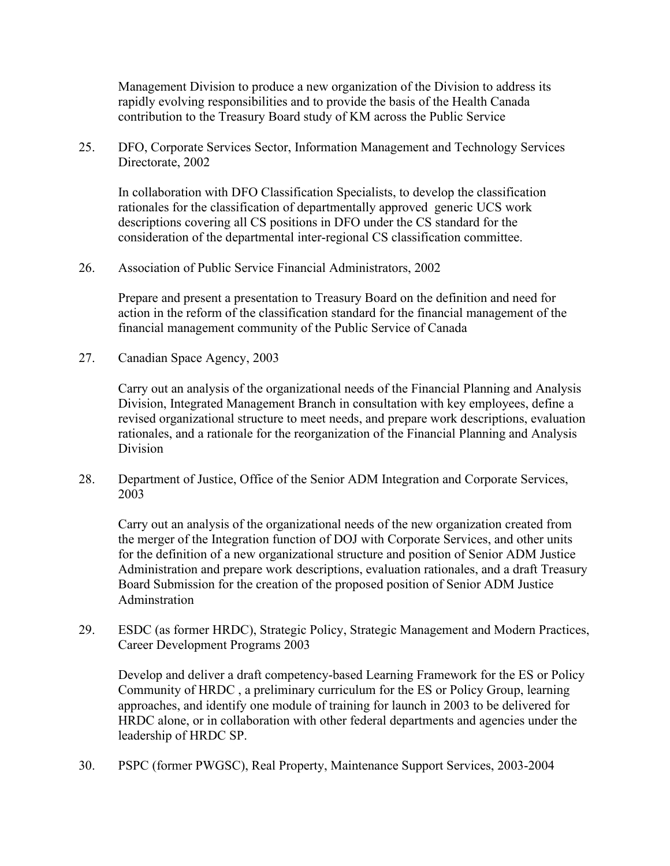Management Division to produce a new organization of the Division to address its rapidly evolving responsibilities and to provide the basis of the Health Canada contribution to the Treasury Board study of KM across the Public Service

25. DFO, Corporate Services Sector, Information Management and Technology Services Directorate, 2002

In collaboration with DFO Classification Specialists, to develop the classification rationales for the classification of departmentally approved generic UCS work descriptions covering all CS positions in DFO under the CS standard for the consideration of the departmental inter-regional CS classification committee.

26. Association of Public Service Financial Administrators, 2002

Prepare and present a presentation to Treasury Board on the definition and need for action in the reform of the classification standard for the financial management of the financial management community of the Public Service of Canada

27. Canadian Space Agency, 2003

Carry out an analysis of the organizational needs of the Financial Planning and Analysis Division, Integrated Management Branch in consultation with key employees, define a revised organizational structure to meet needs, and prepare work descriptions, evaluation rationales, and a rationale for the reorganization of the Financial Planning and Analysis Division

28. Department of Justice, Office of the Senior ADM Integration and Corporate Services, 2003

Carry out an analysis of the organizational needs of the new organization created from the merger of the Integration function of DOJ with Corporate Services, and other units for the definition of a new organizational structure and position of Senior ADM Justice Administration and prepare work descriptions, evaluation rationales, and a draft Treasury Board Submission for the creation of the proposed position of Senior ADM Justice Adminstration

29. ESDC (as former HRDC), Strategic Policy, Strategic Management and Modern Practices, Career Development Programs 2003

Develop and deliver a draft competency-based Learning Framework for the ES or Policy Community of HRDC , a preliminary curriculum for the ES or Policy Group, learning approaches, and identify one module of training for launch in 2003 to be delivered for HRDC alone, or in collaboration with other federal departments and agencies under the leadership of HRDC SP.

30. PSPC (former PWGSC), Real Property, Maintenance Support Services, 2003-2004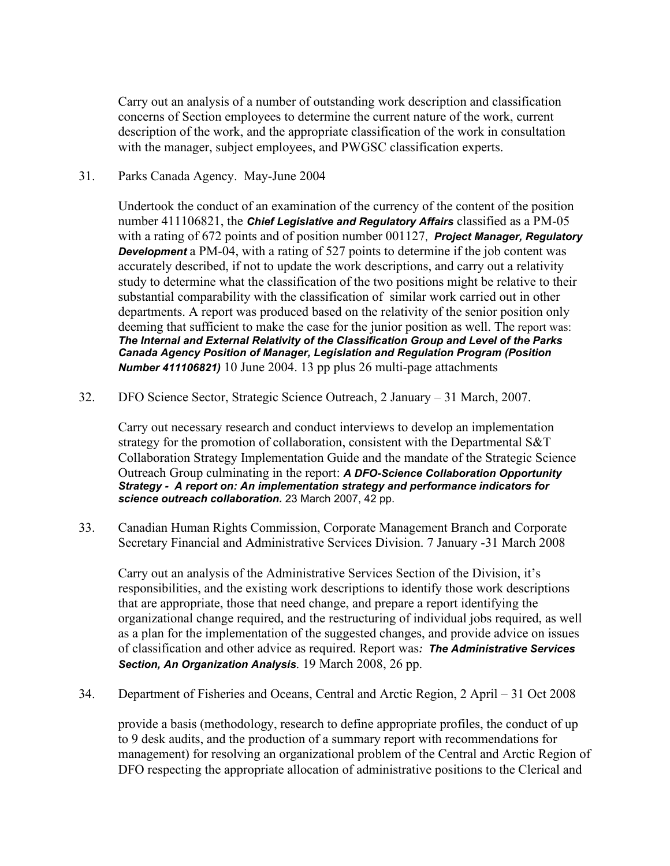Carry out an analysis of a number of outstanding work description and classification concerns of Section employees to determine the current nature of the work, current description of the work, and the appropriate classification of the work in consultation with the manager, subject employees, and PWGSC classification experts.

## 31. Parks Canada Agency. May-June 2004

Undertook the conduct of an examination of the currency of the content of the position number 411106821, the *Chief Legislative and Regulatory Affairs* classified as a PM-05 with a rating of 672 points and of position number 001127, *Project Manager, Regulatory Development* a PM-04, with a rating of 527 points to determine if the job content was accurately described, if not to update the work descriptions, and carry out a relativity study to determine what the classification of the two positions might be relative to their substantial comparability with the classification of similar work carried out in other departments. A report was produced based on the relativity of the senior position only deeming that sufficient to make the case for the junior position as well. The report was: *The Internal and External Relativity of the Classification Group and Level of the Parks Canada Agency Position of Manager, Legislation and Regulation Program (Position Number 411106821)* 10 June 2004. 13 pp plus 26 multi-page attachments

32. DFO Science Sector, Strategic Science Outreach, 2 January – 31 March, 2007.

Carry out necessary research and conduct interviews to develop an implementation strategy for the promotion of collaboration, consistent with the Departmental S&T Collaboration Strategy Implementation Guide and the mandate of the Strategic Science Outreach Group culminating in the report: *A DFO-Science Collaboration Opportunity Strategy - A report on: An implementation strategy and performance indicators for science outreach collaboration.* 23 March 2007, 42 pp.

33. Canadian Human Rights Commission, Corporate Management Branch and Corporate Secretary Financial and Administrative Services Division. 7 January -31 March 2008

Carry out an analysis of the Administrative Services Section of the Division, it's responsibilities, and the existing work descriptions to identify those work descriptions that are appropriate, those that need change, and prepare a report identifying the organizational change required, and the restructuring of individual jobs required, as well as a plan for the implementation of the suggested changes, and provide advice on issues of classification and other advice as required. Report was*: The Administrative Services Section, An Organization Analysis*. 19 March 2008, 26 pp.

34. Department of Fisheries and Oceans, Central and Arctic Region, 2 April – 31 Oct 2008

provide a basis (methodology, research to define appropriate profiles, the conduct of up to 9 desk audits, and the production of a summary report with recommendations for management) for resolving an organizational problem of the Central and Arctic Region of DFO respecting the appropriate allocation of administrative positions to the Clerical and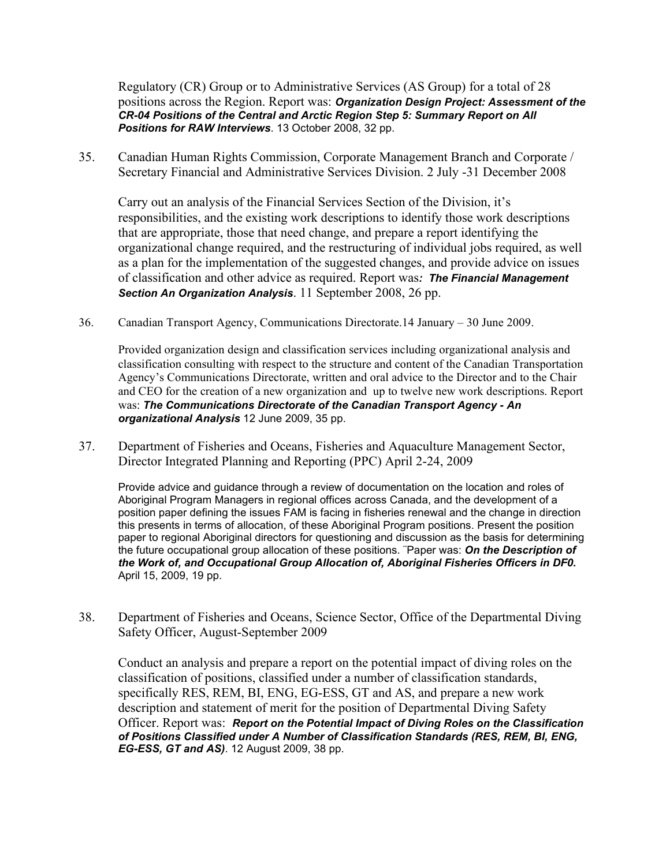Regulatory (CR) Group or to Administrative Services (AS Group) for a total of 28 positions across the Region. Report was: *Organization Design Project: Assessment of the CR-04 Positions of the Central and Arctic Region Step 5: Summary Report on All Positions for RAW Interviews*. 13 October 2008, 32 pp.

35. Canadian Human Rights Commission, Corporate Management Branch and Corporate / Secretary Financial and Administrative Services Division. 2 July -31 December 2008

Carry out an analysis of the Financial Services Section of the Division, it's responsibilities, and the existing work descriptions to identify those work descriptions that are appropriate, those that need change, and prepare a report identifying the organizational change required, and the restructuring of individual jobs required, as well as a plan for the implementation of the suggested changes, and provide advice on issues of classification and other advice as required. Report was*: The Financial Management Section An Organization Analysis*. 11 September 2008, 26 pp.

36. Canadian Transport Agency, Communications Directorate.14 January – 30 June 2009.

Provided organization design and classification services including organizational analysis and classification consulting with respect to the structure and content of the Canadian Transportation Agency's Communications Directorate, written and oral advice to the Director and to the Chair and CEO for the creation of a new organization and up to twelve new work descriptions. Report was: *The Communications Directorate of the Canadian Transport Agency - An organizational Analysis* 12 June 2009, 35 pp.

37. Department of Fisheries and Oceans, Fisheries and Aquaculture Management Sector, Director Integrated Planning and Reporting (PPC) April 2-24, 2009

Provide advice and guidance through a review of documentation on the location and roles of Aboriginal Program Managers in regional offices across Canada, and the development of a position paper defining the issues FAM is facing in fisheries renewal and the change in direction this presents in terms of allocation, of these Aboriginal Program positions. Present the position paper to regional Aboriginal directors for questioning and discussion as the basis for determining the future occupational group allocation of these positions. ¨Paper was: *On the Description of the Work of, and Occupational Group Allocation of, Aboriginal Fisheries Officers in DF0.* April 15, 2009, 19 pp.

38. Department of Fisheries and Oceans, Science Sector, Office of the Departmental Diving Safety Officer, August-September 2009

Conduct an analysis and prepare a report on the potential impact of diving roles on the classification of positions, classified under a number of classification standards, specifically RES, REM, BI, ENG, EG-ESS, GT and AS, and prepare a new work description and statement of merit for the position of Departmental Diving Safety Officer. Report was: *Report on the Potential Impact of Diving Roles on the Classification of Positions Classified under A Number of Classification Standards (RES, REM, BI, ENG, EG-ESS, GT and AS)*. 12 August 2009, 38 pp.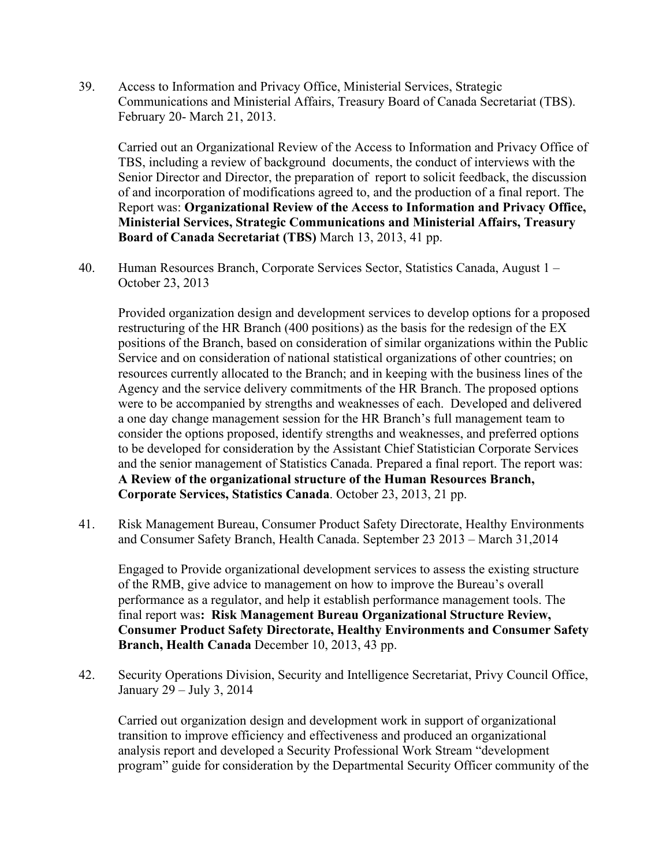39. Access to Information and Privacy Office, Ministerial Services, Strategic Communications and Ministerial Affairs, Treasury Board of Canada Secretariat (TBS). February 20- March 21, 2013.

Carried out an Organizational Review of the Access to Information and Privacy Office of TBS, including a review of background documents, the conduct of interviews with the Senior Director and Director, the preparation of report to solicit feedback, the discussion of and incorporation of modifications agreed to, and the production of a final report. The Report was: **Organizational Review of the Access to Information and Privacy Office, Ministerial Services, Strategic Communications and Ministerial Affairs, Treasury Board of Canada Secretariat (TBS)** March 13, 2013, 41 pp.

40. Human Resources Branch, Corporate Services Sector, Statistics Canada, August 1 – October 23, 2013

Provided organization design and development services to develop options for a proposed restructuring of the HR Branch (400 positions) as the basis for the redesign of the EX positions of the Branch, based on consideration of similar organizations within the Public Service and on consideration of national statistical organizations of other countries; on resources currently allocated to the Branch; and in keeping with the business lines of the Agency and the service delivery commitments of the HR Branch. The proposed options were to be accompanied by strengths and weaknesses of each. Developed and delivered a one day change management session for the HR Branch's full management team to consider the options proposed, identify strengths and weaknesses, and preferred options to be developed for consideration by the Assistant Chief Statistician Corporate Services and the senior management of Statistics Canada. Prepared a final report. The report was: **A Review of the organizational structure of the Human Resources Branch, Corporate Services, Statistics Canada**. October 23, 2013, 21 pp.

41. Risk Management Bureau, Consumer Product Safety Directorate, Healthy Environments and Consumer Safety Branch, Health Canada. September 23 2013 – March 31,2014

Engaged to Provide organizational development services to assess the existing structure of the RMB, give advice to management on how to improve the Bureau's overall performance as a regulator, and help it establish performance management tools. The final report was**: Risk Management Bureau Organizational Structure Review, Consumer Product Safety Directorate, Healthy Environments and Consumer Safety Branch, Health Canada** December 10, 2013, 43 pp.

42. Security Operations Division, Security and Intelligence Secretariat, Privy Council Office, January 29 – July 3, 2014

Carried out organization design and development work in support of organizational transition to improve efficiency and effectiveness and produced an organizational analysis report and developed a Security Professional Work Stream "development program" guide for consideration by the Departmental Security Officer community of the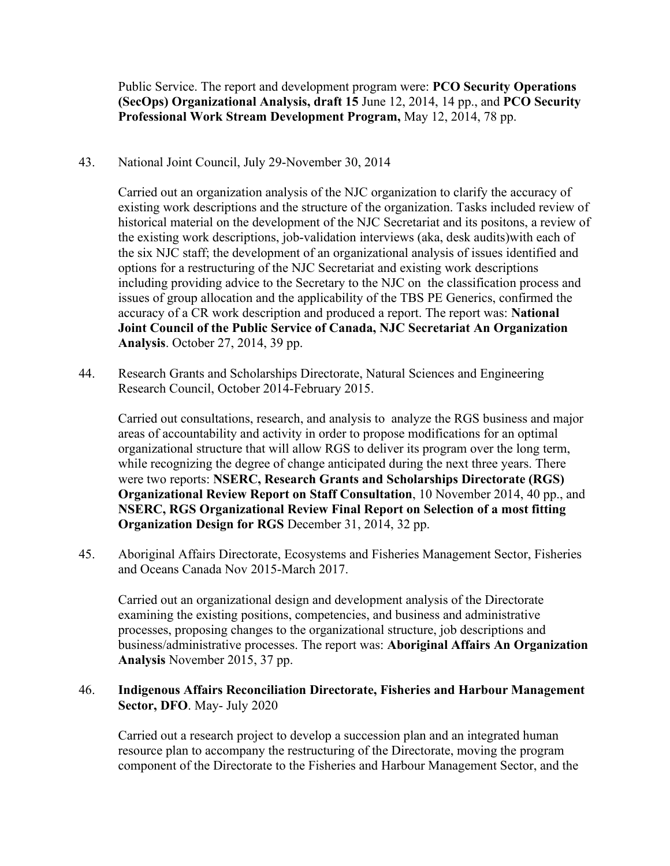Public Service. The report and development program were: **PCO Security Operations (SecOps) Organizational Analysis, draft 15** June 12, 2014, 14 pp., and **PCO Security Professional Work Stream Development Program,** May 12, 2014, 78 pp.

43. National Joint Council, July 29-November 30, 2014

Carried out an organization analysis of the NJC organization to clarify the accuracy of existing work descriptions and the structure of the organization. Tasks included review of historical material on the development of the NJC Secretariat and its positons, a review of the existing work descriptions, job-validation interviews (aka, desk audits)with each of the six NJC staff; the development of an organizational analysis of issues identified and options for a restructuring of the NJC Secretariat and existing work descriptions including providing advice to the Secretary to the NJC on the classification process and issues of group allocation and the applicability of the TBS PE Generics, confirmed the accuracy of a CR work description and produced a report. The report was: **National Joint Council of the Public Service of Canada, NJC Secretariat An Organization Analysis**. October 27, 2014, 39 pp.

44. Research Grants and Scholarships Directorate, Natural Sciences and Engineering Research Council, October 2014-February 2015.

Carried out consultations, research, and analysis to analyze the RGS business and major areas of accountability and activity in order to propose modifications for an optimal organizational structure that will allow RGS to deliver its program over the long term, while recognizing the degree of change anticipated during the next three years. There were two reports: **NSERC, Research Grants and Scholarships Directorate (RGS) Organizational Review Report on Staff Consultation**, 10 November 2014, 40 pp., and **NSERC, RGS Organizational Review Final Report on Selection of a most fitting Organization Design for RGS** December 31, 2014, 32 pp.

45. Aboriginal Affairs Directorate, Ecosystems and Fisheries Management Sector, Fisheries and Oceans Canada Nov 2015-March 2017.

Carried out an organizational design and development analysis of the Directorate examining the existing positions, competencies, and business and administrative processes, proposing changes to the organizational structure, job descriptions and business/administrative processes. The report was: **Aboriginal Affairs An Organization Analysis** November 2015, 37 pp.

## 46. **Indigenous Affairs Reconciliation Directorate, Fisheries and Harbour Management Sector, DFO**. May- July 2020

Carried out a research project to develop a succession plan and an integrated human resource plan to accompany the restructuring of the Directorate, moving the program component of the Directorate to the Fisheries and Harbour Management Sector, and the